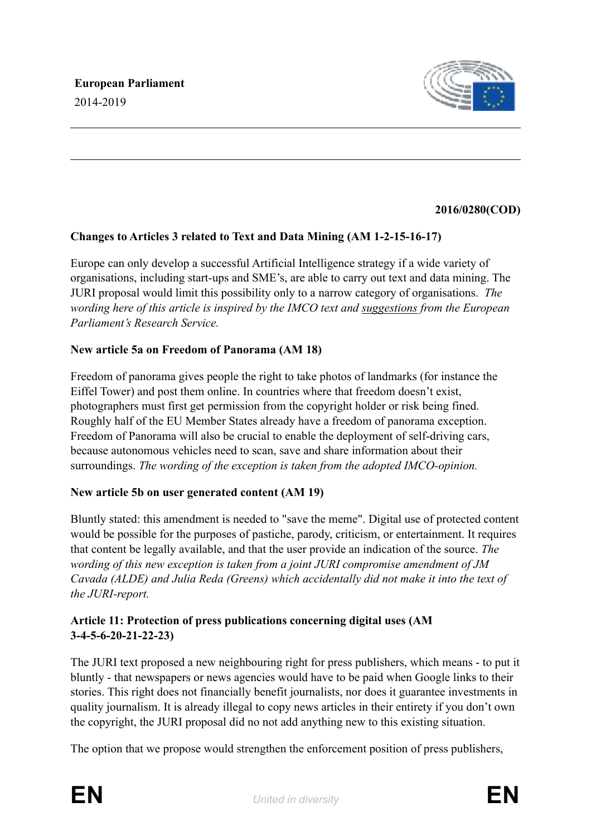

# **2016/0280(COD)**

# **Changes to Articles 3 related to Text and Data Mining (AM 1-2-15-16-17)**

Europe can only develop a successful Artificial Intelligence strategy if a wide variety of organisations, including start-ups and SME's, are able to carry out text and data mining. The JURI proposal would limit this possibility only to a narrow category of organisations. *The wording here of this article is inspired by the IMCO text and [suggestions](http://www.europarl.europa.eu/RegData/etudes/BRIE/2018/604942/IPOL_BRI(2018)604942_EN.pdf) from the European Parliament's Research Service.*

# **New article 5a on Freedom of Panorama (AM 18)**

Freedom of panorama gives people the right to take photos of landmarks (for instance the Eiffel Tower) and post them online. In countries where that freedom doesn't exist, photographers must first get permission from the copyright holder or risk being fined. Roughly half of the EU Member States already have a freedom of panorama exception. Freedom of Panorama will also be crucial to enable the deployment of self-driving cars, because autonomous vehicles need to scan, save and share information about their surroundings. *The wording of the exception is taken from the adopted IMCO-opinion.*

## **New article 5b on user generated content (AM 19)**

Bluntly stated: this amendment is needed to "save the meme". Digital use of protected content would be possible for the purposes of pastiche, parody, criticism, or entertainment. It requires that content be legally available, and that the user provide an indication of the source. *The wording of this new exception is taken from a joint JURI compromise amendment of JM Cavada (ALDE) and Julia Reda (Greens) which accidentally did not make it into the text of the JURI-report.*

# **Article 11: Protection of press publications concerning digital uses (AM 3-4-5-6-20-21-22-23)**

The JURI text proposed a new neighbouring right for press publishers, which means - to put it bluntly - that newspapers or news agencies would have to be paid when Google links to their stories. This right does not financially benefit journalists, nor does it guarantee investments in quality journalism. It is already illegal to copy news articles in their entirety if you don't own the copyright, the JURI proposal did no not add anything new to this existing situation.

The option that we propose would strengthen the enforcement position of press publishers,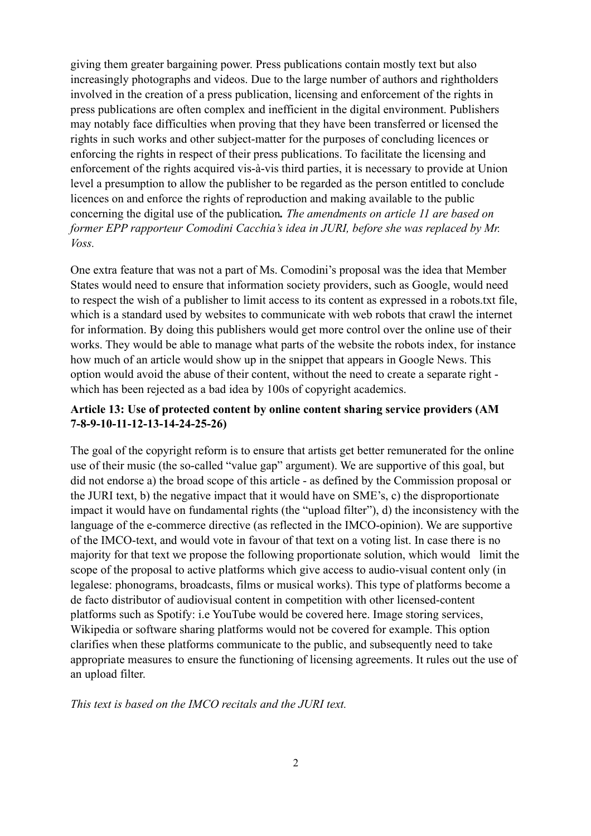giving them greater bargaining power. Press publications contain mostly text but also increasingly photographs and videos. Due to the large number of authors and rightholders involved in the creation of a press publication, licensing and enforcement of the rights in press publications are often complex and inefficient in the digital environment. Publishers may notably face difficulties when proving that they have been transferred or licensed the rights in such works and other subject-matter for the purposes of concluding licences or enforcing the rights in respect of their press publications. To facilitate the licensing and enforcement of the rights acquired vis-à-vis third parties, it is necessary to provide at Union level a presumption to allow the publisher to be regarded as the person entitled to conclude licences on and enforce the rights of reproduction and making available to the public concerning the digital use of the publication*. The amendments on article 11 are based on former EPP rapporteur Comodini Cacchia's idea in JURI, before she was replaced by Mr. Voss.* 

One extra feature that was not a part of Ms. Comodini's proposal was the idea that Member States would need to ensure that information society providers, such as Google, would need to respect the wish of a publisher to limit access to its content as expressed in a robots.txt file, which is a standard used by websites to communicate with web robots that crawl the internet for information. By doing this publishers would get more control over the online use of their works. They would be able to manage what parts of the website the robots index, for instance how much of an article would show up in the snippet that appears in Google News. This option would avoid the abuse of their content, without the need to create a separate right which has been rejected as a bad idea by 100s of copyright academics.

# **Article 13: Use of protected content by online content sharing service providers (AM 7-8-9-10-11-12-13-14-24-25-26)**

The goal of the copyright reform is to ensure that artists get better remunerated for the online use of their music (the so-called "value gap" argument). We are supportive of this goal, but did not endorse a) the broad scope of this article - as defined by the Commission proposal or the JURI text, b) the negative impact that it would have on SME's, c) the disproportionate impact it would have on fundamental rights (the "upload filter"), d) the inconsistency with the language of the e-commerce directive (as reflected in the IMCO-opinion). We are supportive of the IMCO-text, and would vote in favour of that text on a voting list. In case there is no majority for that text we propose the following proportionate solution, which would limit the scope of the proposal to active platforms which give access to audio-visual content only (in legalese: phonograms, broadcasts, films or musical works). This type of platforms become a de facto distributor of audiovisual content in competition with other licensed-content platforms such as Spotify: i.e YouTube would be covered here. Image storing services, Wikipedia or software sharing platforms would not be covered for example. This option clarifies when these platforms communicate to the public, and subsequently need to take appropriate measures to ensure the functioning of licensing agreements. It rules out the use of an upload filter.

*This text is based on the IMCO recitals and the JURI text.*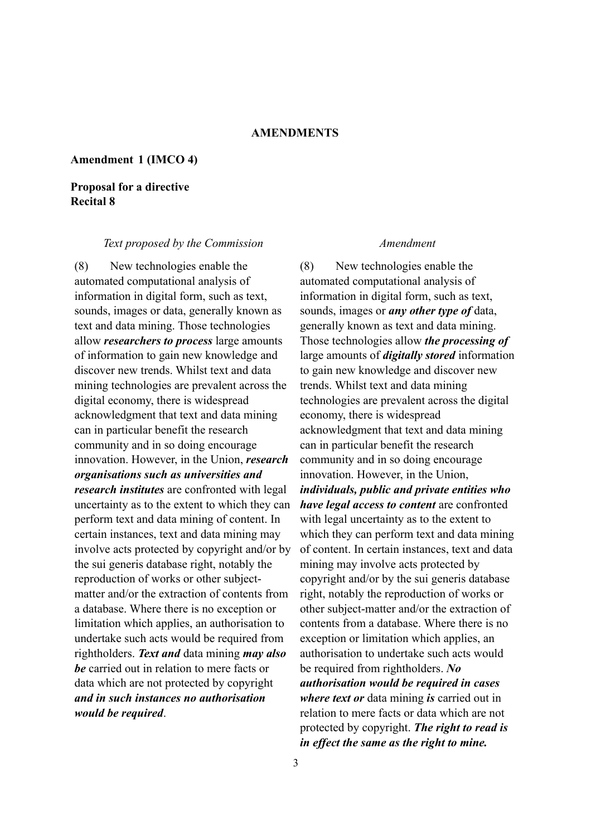## **Amendment 1 (IMCO 4)**

# **Proposal for a directive Recital 8**

### *Text proposed by the Commission Amendment*

(8) New technologies enable the automated computational analysis of information in digital form, such as text, sounds, images or data, generally known as text and data mining. Those technologies allow *researchers to process* large amounts of information to gain new knowledge and discover new trends. Whilst text and data mining technologies are prevalent across the digital economy, there is widespread acknowledgment that text and data mining can in particular benefit the research community and in so doing encourage innovation. However, in the Union, *research organisations such as universities and research institutes* are confronted with legal uncertainty as to the extent to which they can perform text and data mining of content. In certain instances, text and data mining may involve acts protected by copyright and/or by the sui generis database right, notably the reproduction of works or other subjectmatter and/or the extraction of contents from a database. Where there is no exception or limitation which applies, an authorisation to undertake such acts would be required from rightholders. *Text and* data mining *may also be* carried out in relation to mere facts or data which are not protected by copyright *and in such instances no authorisation would be required*.

(8) New technologies enable the automated computational analysis of information in digital form, such as text, sounds, images or *any other type of* data, generally known as text and data mining. Those technologies allow *the processing of* large amounts of *digitally stored* information to gain new knowledge and discover new trends. Whilst text and data mining technologies are prevalent across the digital economy, there is widespread acknowledgment that text and data mining can in particular benefit the research community and in so doing encourage innovation. However, in the Union, *individuals, public and private entities who have legal access to content* are confronted with legal uncertainty as to the extent to which they can perform text and data mining of content. In certain instances, text and data mining may involve acts protected by copyright and/or by the sui generis database right, notably the reproduction of works or other subject-matter and/or the extraction of contents from a database. Where there is no exception or limitation which applies, an authorisation to undertake such acts would be required from rightholders. *No authorisation would be required in cases where text or* data mining *is* carried out in relation to mere facts or data which are not protected by copyright. *The right to read is in effect the same as the right to mine.*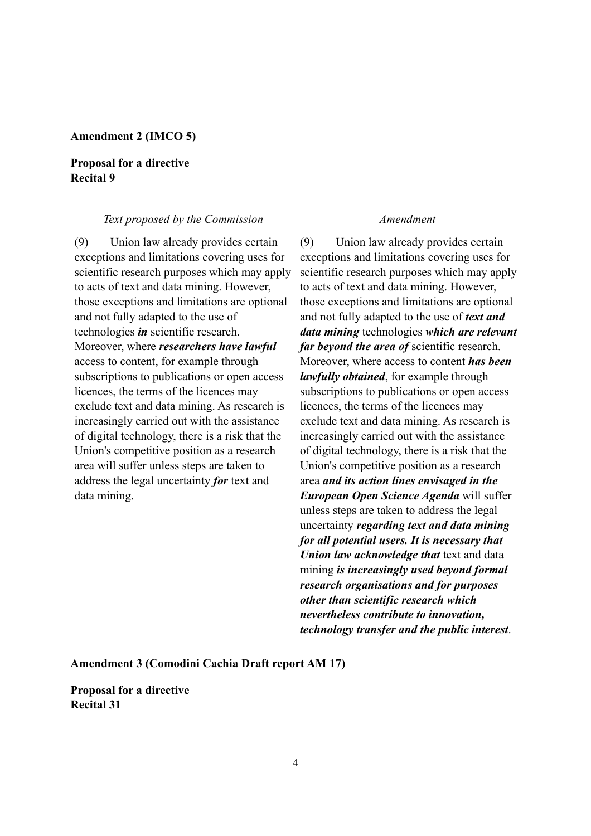## **Amendment 2 (IMCO 5)**

# **Proposal for a directive Recital 9**

### *Text proposed by the Commission Amendment*

(9) Union law already provides certain exceptions and limitations covering uses for scientific research purposes which may apply to acts of text and data mining. However, those exceptions and limitations are optional and not fully adapted to the use of technologies *in* scientific research. Moreover, where *researchers have lawful*  access to content, for example through subscriptions to publications or open access licences, the terms of the licences may exclude text and data mining. As research is increasingly carried out with the assistance of digital technology, there is a risk that the Union's competitive position as a research area will suffer unless steps are taken to address the legal uncertainty *for* text and data mining.

(9) Union law already provides certain exceptions and limitations covering uses for scientific research purposes which may apply to acts of text and data mining. However, those exceptions and limitations are optional and not fully adapted to the use of *text and data mining* technologies *which are relevant far beyond the area of* scientific research. Moreover, where access to content *has been lawfully obtained*, for example through subscriptions to publications or open access licences, the terms of the licences may exclude text and data mining. As research is increasingly carried out with the assistance of digital technology, there is a risk that the Union's competitive position as a research area *and its action lines envisaged in the European Open Science Agenda* will suffer unless steps are taken to address the legal uncertainty *regarding text and data mining for all potential users. It is necessary that Union law acknowledge that* text and data mining *is increasingly used beyond formal research organisations and for purposes other than scientific research which nevertheless contribute to innovation, technology transfer and the public interest*.

**Amendment 3 (Comodini Cachia Draft report AM 17)** 

**Proposal for a directive Recital 31**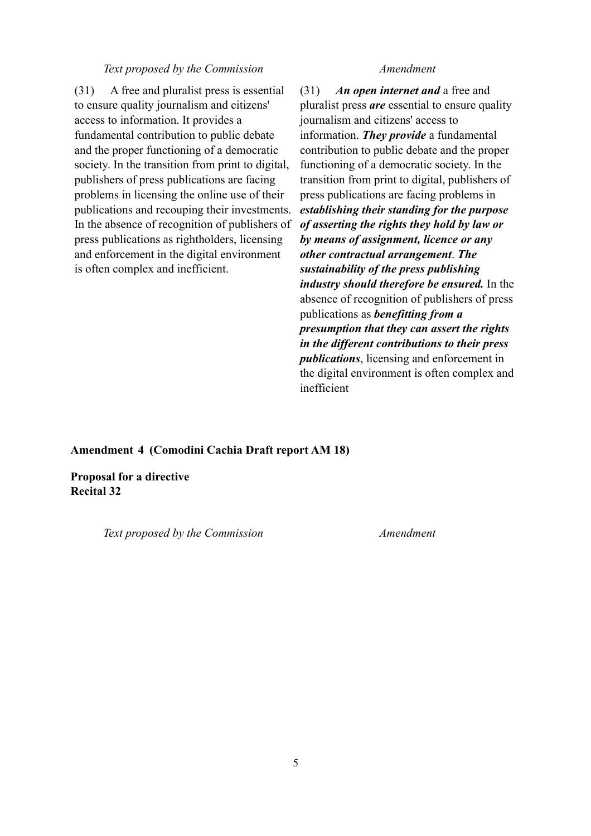### *Text proposed by the Commission Amendment*

(31) A free and pluralist press is essential to ensure quality journalism and citizens' access to information. It provides a fundamental contribution to public debate and the proper functioning of a democratic society. In the transition from print to digital, publishers of press publications are facing problems in licensing the online use of their publications and recouping their investments. In the absence of recognition of publishers of press publications as rightholders, licensing and enforcement in the digital environment is often complex and inefficient.

(31) *An open internet and* a free and pluralist press *are* essential to ensure quality journalism and citizens' access to information. *They provide* a fundamental contribution to public debate and the proper functioning of a democratic society. In the transition from print to digital, publishers of press publications are facing problems in *establishing their standing for the purpose of asserting the rights they hold by law or by means of assignment, licence or any other contractual arrangement*. *The sustainability of the press publishing industry should therefore be ensured.* In the absence of recognition of publishers of press publications as *benefitting from a presumption that they can assert the rights in the different contributions to their press publications*, licensing and enforcement in the digital environment is often complex and inefficient

### **Amendment 4 (Comodini Cachia Draft report AM 18)**

**Proposal for a directive Recital 32**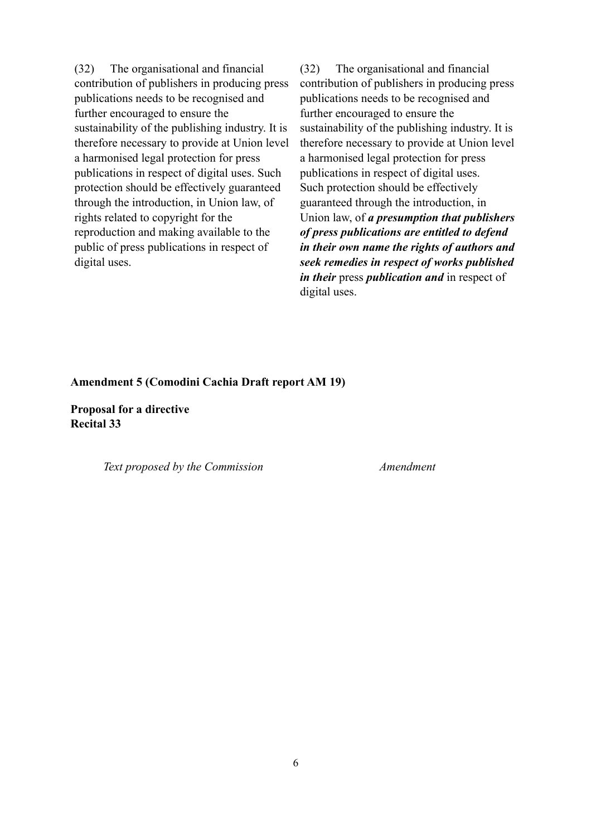(32) The organisational and financial contribution of publishers in producing press publications needs to be recognised and further encouraged to ensure the sustainability of the publishing industry. It is therefore necessary to provide at Union level a harmonised legal protection for press publications in respect of digital uses. Such protection should be effectively guaranteed through the introduction, in Union law, of rights related to copyright for the reproduction and making available to the public of press publications in respect of digital uses.

(32) The organisational and financial contribution of publishers in producing press publications needs to be recognised and further encouraged to ensure the sustainability of the publishing industry. It is therefore necessary to provide at Union level a harmonised legal protection for press publications in respect of digital uses. Such protection should be effectively guaranteed through the introduction, in Union law, of *a presumption that publishers of press publications are entitled to defend in their own name the rights of authors and seek remedies in respect of works published in their* press *publication and* in respect of digital uses.

## **Amendment 5 (Comodini Cachia Draft report AM 19)**

**Proposal for a directive Recital 33**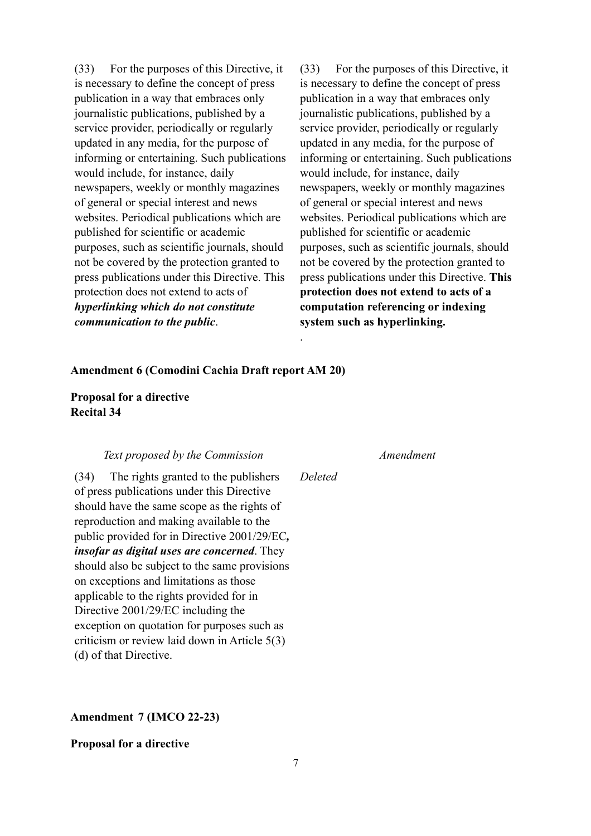(33) For the purposes of this Directive, it is necessary to define the concept of press publication in a way that embraces only journalistic publications, published by a service provider, periodically or regularly updated in any media, for the purpose of informing or entertaining. Such publications would include, for instance, daily newspapers, weekly or monthly magazines of general or special interest and news websites. Periodical publications which are published for scientific or academic purposes, such as scientific journals, should not be covered by the protection granted to press publications under this Directive. This protection does not extend to acts of *hyperlinking which do not constitute communication to the public*.

(33) For the purposes of this Directive, it is necessary to define the concept of press publication in a way that embraces only journalistic publications, published by a service provider, periodically or regularly updated in any media, for the purpose of informing or entertaining. Such publications would include, for instance, daily newspapers, weekly or monthly magazines of general or special interest and news websites. Periodical publications which are published for scientific or academic purposes, such as scientific journals, should not be covered by the protection granted to press publications under this Directive. **This protection does not extend to acts of a computation referencing or indexing system such as hyperlinking.** 

### **Amendment 6 (Comodini Cachia Draft report AM 20)**

# **Proposal for a directive Recital 34**

### *Text proposed by the Commission Amendment*

(34) The rights granted to the publishers of press publications under this Directive should have the same scope as the rights of reproduction and making available to the public provided for in Directive 2001/29/EC*, insofar as digital uses are concerned*. They should also be subject to the same provisions on exceptions and limitations as those applicable to the rights provided for in Directive 2001/29/EC including the exception on quotation for purposes such as criticism or review laid down in Article 5(3) (d) of that Directive.

## **Amendment 7 (IMCO 22-23)**

### **Proposal for a directive**

.

*Deleted*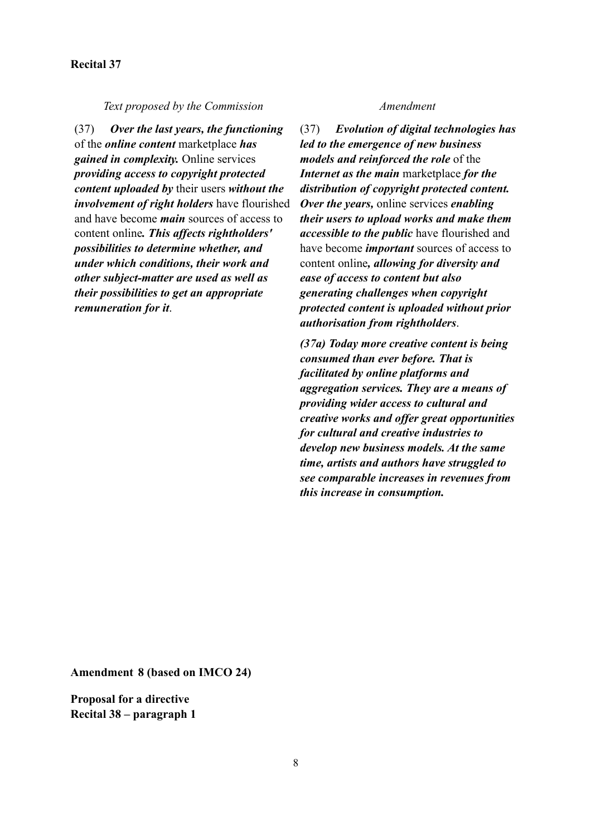## **Recital 37**

*Text proposed by the Commission Amendment*

(37) *Over the last years, the functioning* of the *online content* marketplace *has gained in complexity.* Online services *providing access to copyright protected content uploaded by* their users *without the involvement of right holders* have flourished and have become *main* sources of access to content online*. This affects rightholders' possibilities to determine whether, and under which conditions, their work and other subject-matter are used as well as their possibilities to get an appropriate remuneration for it*.

(37) *Evolution of digital technologies has led to the emergence of new business models and reinforced the role* of the *Internet as the main* marketplace *for the distribution of copyright protected content. Over the years,* online services *enabling their users to upload works and make them accessible to the public* have flourished and have become *important* sources of access to content online*, allowing for diversity and ease of access to content but also generating challenges when copyright protected content is uploaded without prior authorisation from rightholders*.

*(37a) Today more creative content is being consumed than ever before. That is facilitated by online platforms and aggregation services. They are a means of providing wider access to cultural and creative works and offer great opportunities for cultural and creative industries to develop new business models. At the same time, artists and authors have struggled to see comparable increases in revenues from this increase in consumption.*

**Amendment 8 (based on IMCO 24)** 

**Proposal for a directive Recital 38 – paragraph 1**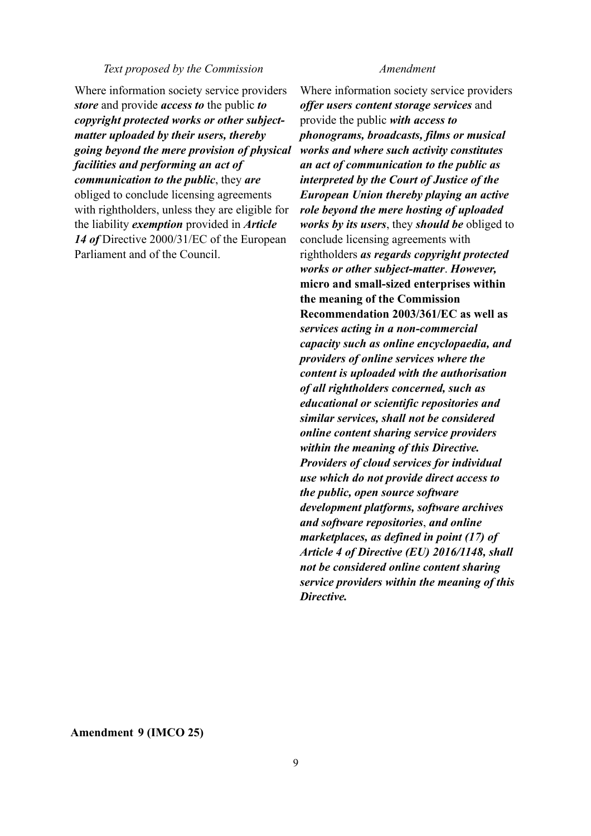### *Text proposed by the Commission Amendment*

Where information society service providers *store* and provide *access to* the public *to copyright protected works or other subjectmatter uploaded by their users, thereby going beyond the mere provision of physical facilities and performing an act of communication to the public*, they *are* obliged to conclude licensing agreements with rightholders, unless they are eligible for the liability *exemption* provided in *Article 14 of* Directive 2000/31/EC of the European Parliament and of the Council.

Where information society service providers *offer users content storage services* and provide the public *with access to phonograms, broadcasts, films or musical works and where such activity constitutes an act of communication to the public as interpreted by the Court of Justice of the European Union thereby playing an active role beyond the mere hosting of uploaded works by its users*, they *should be* obliged to conclude licensing agreements with rightholders *as regards copyright protected works or other subject-matter*. *However,*  **micro and small-sized enterprises within the meaning of the Commission Recommendation 2003/361/EC as well as**  *services acting in a non-commercial capacity such as online encyclopaedia, and providers of online services where the content is uploaded with the authorisation of all rightholders concerned, such as educational or scientific repositories and similar services, shall not be considered online content sharing service providers within the meaning of this Directive. Providers of cloud services for individual use which do not provide direct access to the public, open source software development platforms, software archives and software repositories*, *and online marketplaces, as defined in point (17) of Article 4 of Directive (EU) 2016/1148, shall not be considered online content sharing service providers within the meaning of this Directive.*

**Amendment 9 (IMCO 25)**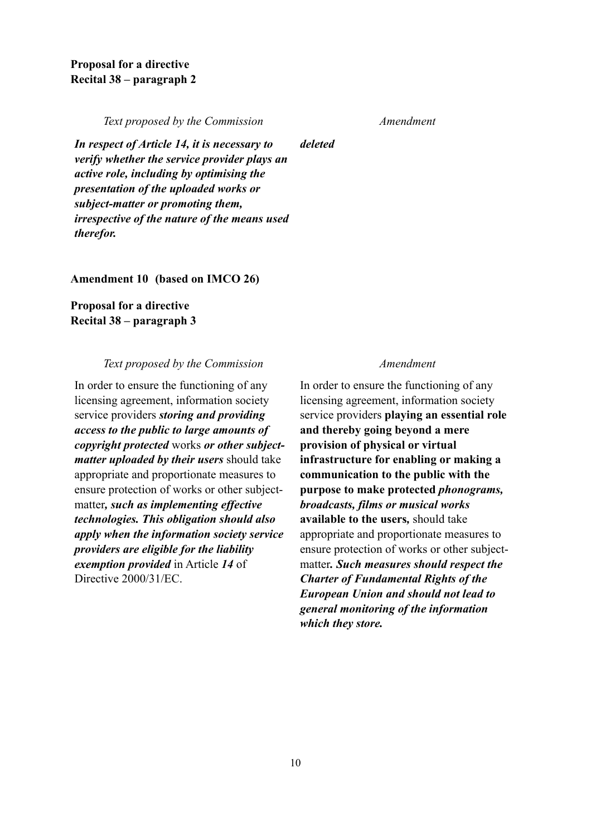*Text proposed by the Commission Amendment*

*deleted*

*In respect of Article 14, it is necessary to verify whether the service provider plays an active role, including by optimising the presentation of the uploaded works or subject-matter or promoting them, irrespective of the nature of the means used therefor.*

**Amendment 10 (based on IMCO 26)** 

**Proposal for a directive Recital 38 – paragraph 3** 

## *Text proposed by the Commission Amendment*

In order to ensure the functioning of any licensing agreement, information society service providers *storing and providing access to the public to large amounts of copyright protected* works *or other subjectmatter uploaded by their users* should take appropriate and proportionate measures to ensure protection of works or other subjectmatter*, such as implementing effective technologies. This obligation should also apply when the information society service providers are eligible for the liability exemption provided* in Article *14* of Directive 2000/31/EC.

In order to ensure the functioning of any licensing agreement, information society service providers **playing an essential role and thereby going beyond a mere provision of physical or virtual infrastructure for enabling or making a communication to the public with the purpose to make protected** *phonograms, broadcasts, films or musical works* **available to the users***,* should take appropriate and proportionate measures to ensure protection of works or other subjectmatter*. Such measures should respect the Charter of Fundamental Rights of the European Union and should not lead to general monitoring of the information which they store.*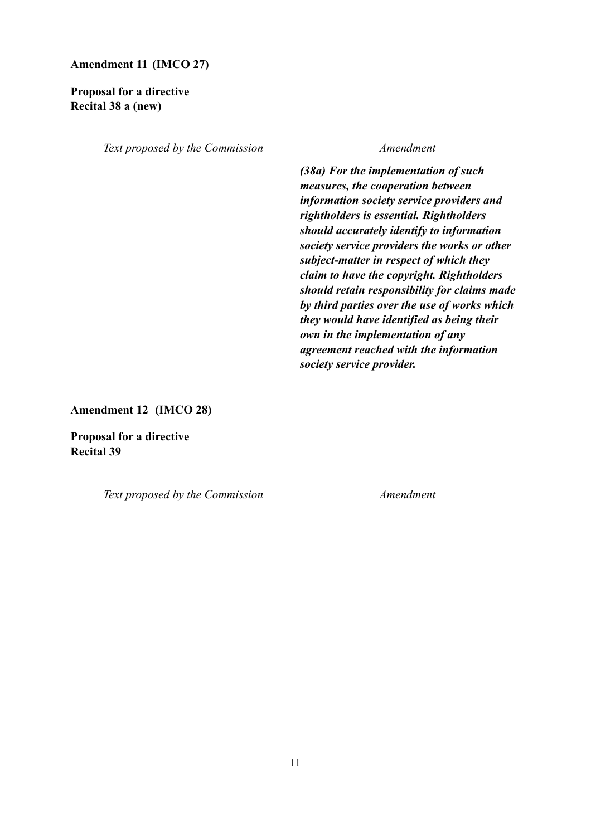## **Amendment 11 (IMCO 27)**

# **Proposal for a directive Recital 38 a (new)**

*Text proposed by the Commission Amendment*

*(38a) For the implementation of such measures, the cooperation between information society service providers and rightholders is essential. Rightholders should accurately identify to information society service providers the works or other subject-matter in respect of which they claim to have the copyright. Rightholders should retain responsibility for claims made by third parties over the use of works which they would have identified as being their own in the implementation of any agreement reached with the information society service provider.*

**Amendment 12 (IMCO 28)** 

**Proposal for a directive Recital 39**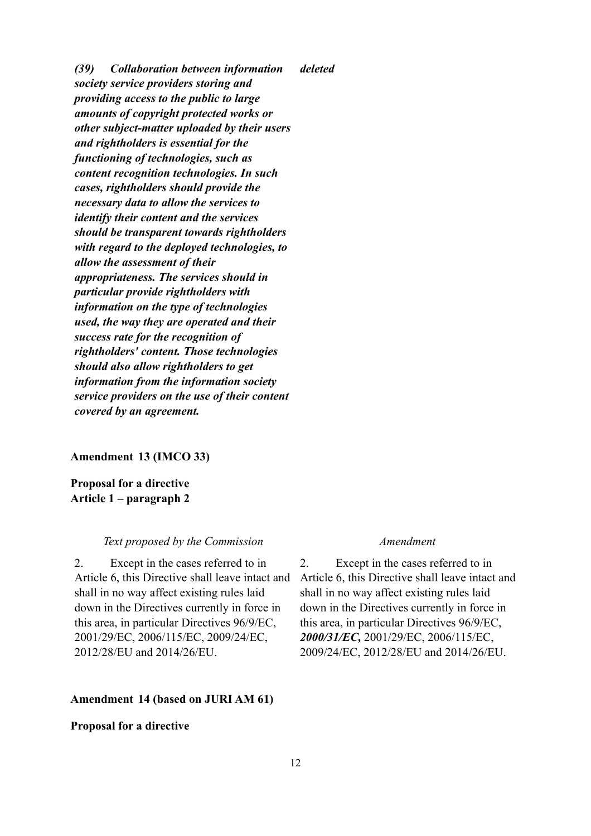*(39) Collaboration between information society service providers storing and providing access to the public to large amounts of copyright protected works or other subject-matter uploaded by their users and rightholders is essential for the functioning of technologies, such as content recognition technologies. In such cases, rightholders should provide the necessary data to allow the services to identify their content and the services should be transparent towards rightholders with regard to the deployed technologies, to allow the assessment of their appropriateness. The services should in particular provide rightholders with information on the type of technologies used, the way they are operated and their success rate for the recognition of rightholders' content. Those technologies should also allow rightholders to get information from the information society service providers on the use of their content covered by an agreement. deleted*

### **Amendment 13 (IMCO 33)**

**Proposal for a directive Article 1 – paragraph 2** 

## *Text proposed by the Commission Amendment*

2. Except in the cases referred to in Article 6, this Directive shall leave intact and shall in no way affect existing rules laid down in the Directives currently in force in this area, in particular Directives 96/9/EC, 2001/29/EC, 2006/115/EC, 2009/24/EC, 2012/28/EU and 2014/26/EU.

### **Amendment 14 (based on JURI AM 61)**

## **Proposal for a directive**

2. Except in the cases referred to in Article 6, this Directive shall leave intact and shall in no way affect existing rules laid down in the Directives currently in force in this area, in particular Directives 96/9/EC, *2000/31/EC,* 2001/29/EC, 2006/115/EC, 2009/24/EC, 2012/28/EU and 2014/26/EU.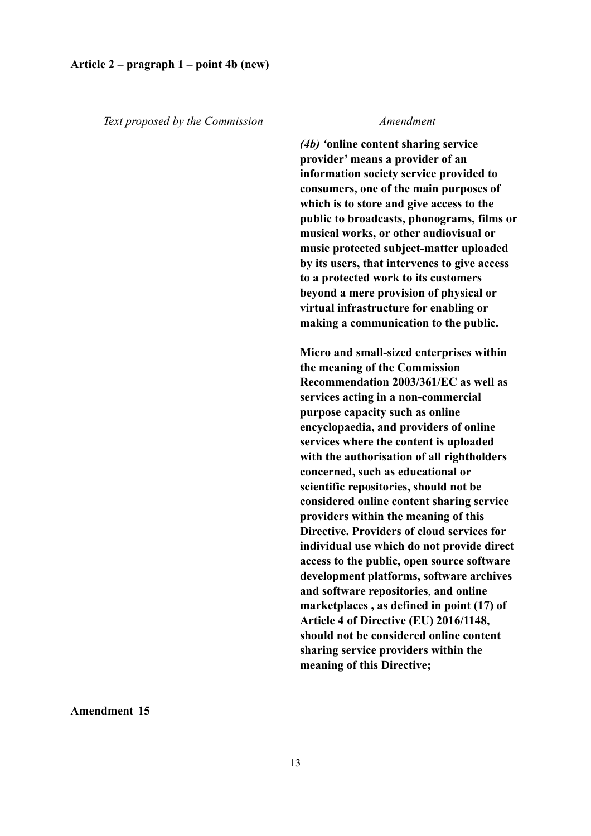### **Article 2 – pragraph 1 – point 4b (new)**

*Text proposed by the Commission Amendment*

*(4b) '***online content sharing service provider' means a provider of an information society service provided to consumers, one of the main purposes of which is to store and give access to the public to broadcasts, phonograms, films or musical works, or other audiovisual or music protected subject-matter uploaded by its users, that intervenes to give access to a protected work to its customers beyond a mere provision of physical or virtual infrastructure for enabling or making a communication to the public.**

**Micro and small-sized enterprises within the meaning of the Commission Recommendation 2003/361/EC as well as services acting in a non-commercial purpose capacity such as online encyclopaedia, and providers of online services where the content is uploaded with the authorisation of all rightholders concerned, such as educational or scientific repositories, should not be considered online content sharing service providers within the meaning of this Directive. Providers of cloud services for individual use which do not provide direct access to the public, open source software development platforms, software archives and software repositories**, **and online marketplaces , as defined in point (17) of Article 4 of Directive (EU) 2016/1148, should not be considered online content sharing service providers within the meaning of this Directive;**

**Amendment 15**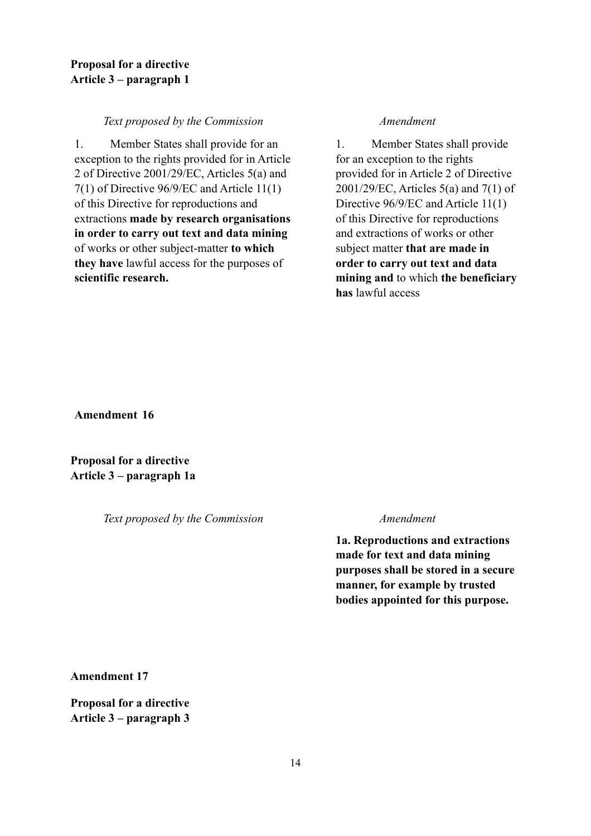# **Proposal for a directive Article 3 – paragraph 1**

## *Text proposed by the Commission Amendment*

1. Member States shall provide for an exception to the rights provided for in Article 2 of Directive 2001/29/EC, Articles 5(a) and 7(1) of Directive 96/9/EC and Article 11(1) of this Directive for reproductions and extractions **made by research organisations in order to carry out text and data mining**  of works or other subject-matter **to which they have** lawful access for the purposes of **scientific research.**

1. Member States shall provide for an exception to the rights provided for in Article 2 of Directive 2001/29/EC, Articles 5(a) and 7(1) of Directive 96/9/EC and Article 11(1) of this Directive for reproductions and extractions of works or other subject matter **that are made in order to carry out text and data mining and** to which **the beneficiary has** lawful access

**Amendment 16** 

**Proposal for a directive Article 3 – paragraph 1a** 

*Text proposed by the Commission Amendment*

**1a. Reproductions and extractions made for text and data mining purposes shall be stored in a secure manner, for example by trusted bodies appointed for this purpose.** 

**Amendment 17** 

**Proposal for a directive Article 3 – paragraph 3**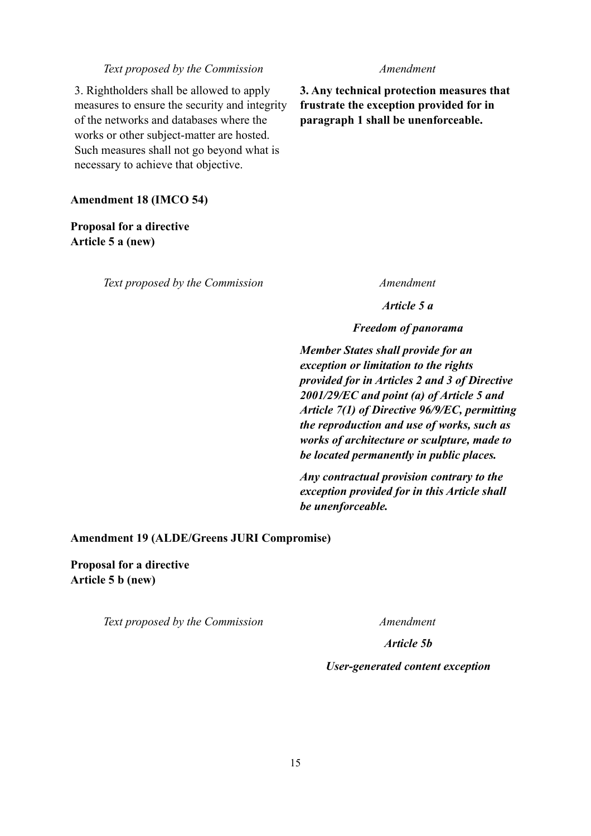### *Text proposed by the Commission Amendment*

3. Rightholders shall be allowed to apply measures to ensure the security and integrity of the networks and databases where the works or other subject-matter are hosted. Such measures shall not go beyond what is necessary to achieve that objective.

## **Amendment 18 (IMCO 54)**

**Proposal for a directive Article 5 a (new)** 

*Text proposed by the Commission Amendment*

**3. Any technical protection measures that frustrate the exception provided for in paragraph 1 shall be unenforceable.**

*Article 5 a*

## *Freedom of panorama*

*Member States shall provide for an exception or limitation to the rights provided for in Articles 2 and 3 of Directive 2001/29/EC and point (a) of Article 5 and Article 7(1) of Directive 96/9/EC, permitting the reproduction and use of works, such as works of architecture or sculpture, made to be located permanently in public places.*

*Any contractual provision contrary to the exception provided for in this Article shall be unenforceable.*

## **Amendment 19 (ALDE/Greens JURI Compromise)**

**Proposal for a directive Article 5 b (new)** 

*Text proposed by the Commission Amendment*

*Article 5b*

### *User-generated content exception*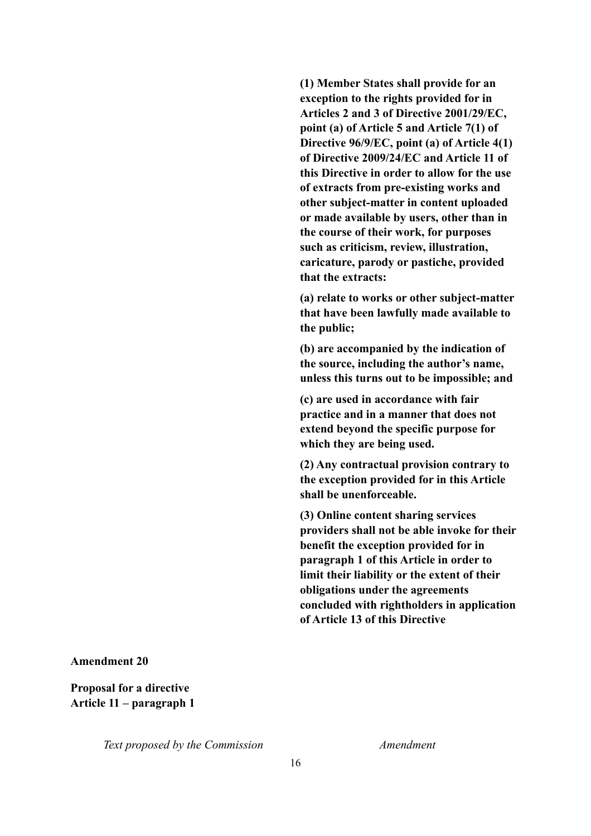**(1) Member States shall provide for an exception to the rights provided for in Articles 2 and 3 of Directive 2001/29/EC, point (a) of Article 5 and Article 7(1) of Directive 96/9/EC, point (a) of Article 4(1) of Directive 2009/24/EC and Article 11 of this Directive in order to allow for the use of extracts from pre-existing works and other subject-matter in content uploaded or made available by users, other than in the course of their work, for purposes such as criticism, review, illustration, caricature, parody or pastiche, provided that the extracts:** 

**(a) relate to works or other subject-matter that have been lawfully made available to the public;** 

**(b) are accompanied by the indication of the source, including the author's name, unless this turns out to be impossible; and** 

**(c) are used in accordance with fair practice and in a manner that does not extend beyond the specific purpose for which they are being used.** 

**(2) Any contractual provision contrary to the exception provided for in this Article shall be unenforceable.** 

**(3) Online content sharing services providers shall not be able invoke for their benefit the exception provided for in paragraph 1 of this Article in order to limit their liability or the extent of their obligations under the agreements concluded with rightholders in application of Article 13 of this Directive**

### **Amendment 20**

**Proposal for a directive Article 11 – paragraph 1**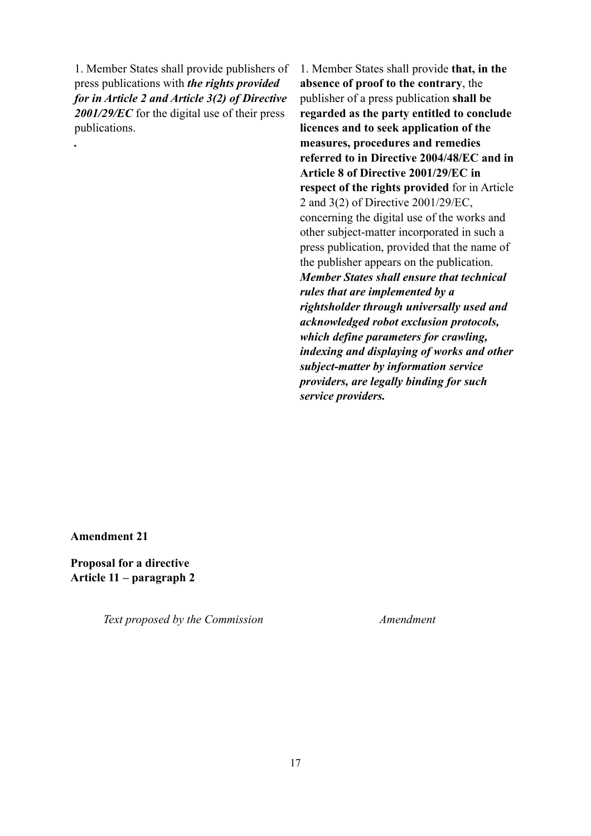1. Member States shall provide publishers of press publications with *the rights provided for in Article 2 and Article 3(2) of Directive 2001/29/EC* for the digital use of their press publications.

1. Member States shall provide **that, in the absence of proof to the contrary**, the publisher of a press publication **shall be regarded as the party entitled to conclude licences and to seek application of the measures, procedures and remedies referred to in Directive 2004/48/EC and in Article 8 of Directive 2001/29/EC in respect of the rights provided** for in Article 2 and 3(2) of Directive 2001/29/EC, concerning the digital use of the works and other subject-matter incorporated in such a press publication, provided that the name of the publisher appears on the publication. *Member States shall ensure that technical rules that are implemented by a rightsholder through universally used and acknowledged robot exclusion protocols, which define parameters for crawling, indexing and displaying of works and other subject-matter by information service providers, are legally binding for such service providers.*

**Amendment 21** 

*.*

**Proposal for a directive Article 11 – paragraph 2**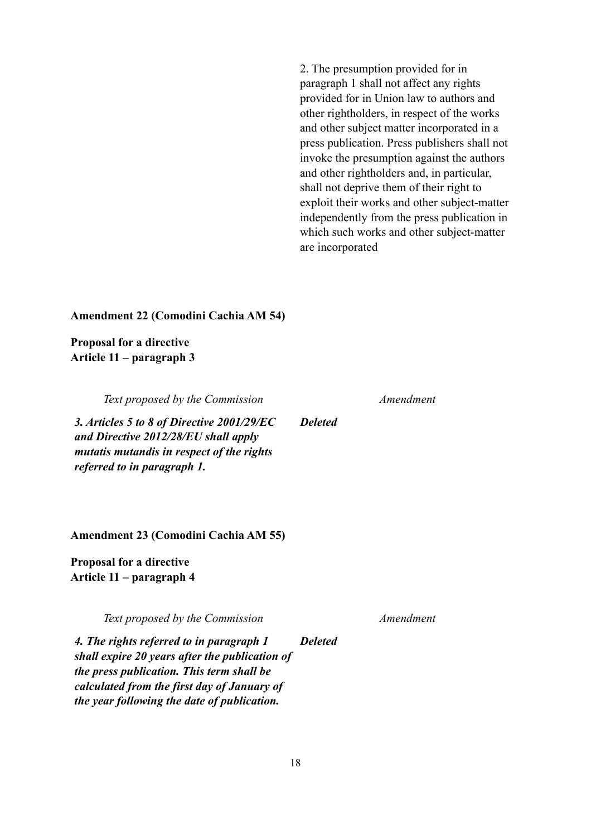2. The presumption provided for in paragraph 1 shall not affect any rights provided for in Union law to authors and other rightholders, in respect of the works and other subject matter incorporated in a press publication. Press publishers shall not invoke the presumption against the authors and other rightholders and, in particular, shall not deprive them of their right to exploit their works and other subject-matter independently from the press publication in which such works and other subject-matter are incorporated

## **Amendment 22 (Comodini Cachia AM 54)**

**Proposal for a directive Article 11 – paragraph 3** 

*Text proposed by the Commission Amendment*

*3. Articles 5 to 8 of Directive 2001/29/EC and Directive 2012/28/EU shall apply mutatis mutandis in respect of the rights referred to in paragraph 1.* 

**Amendment 23 (Comodini Cachia AM 55)** 

**Proposal for a directive Article 11 – paragraph 4** 

*Text proposed by the Commission Amendment*

*4. The rights referred to in paragraph 1 shall expire 20 years after the publication of the press publication. This term shall be calculated from the first day of January of the year following the date of publication. Deleted*

*Deleted*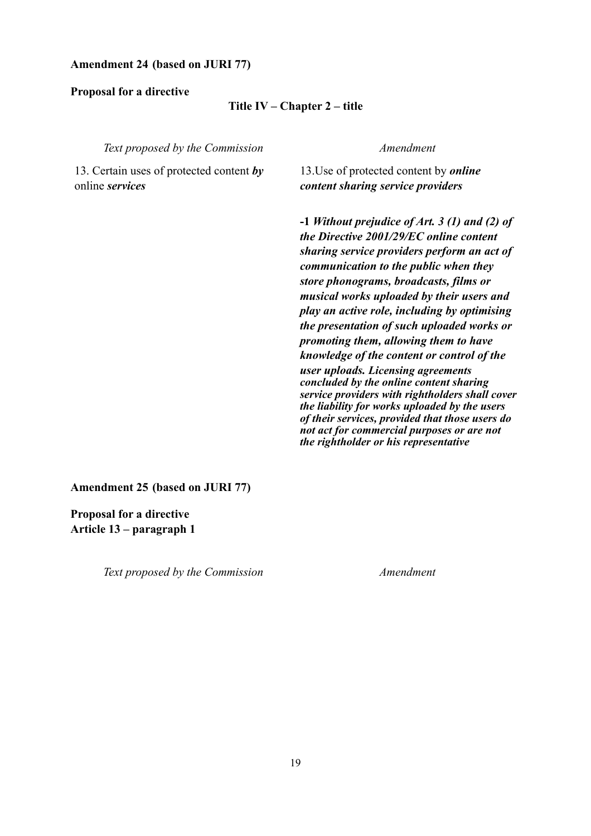## **Amendment 24 (based on JURI 77)**

**Proposal for a directive** 

### **Title IV – Chapter 2 – title**

*Text proposed by the Commission Amendment*

13. Certain uses of protected content *by* online *services*

13.Use of protected content by *online content sharing service providers* 

**-1** *Without prejudice of Art. 3 (1) and (2) of the Directive 2001/29/EC online content sharing service providers perform an act of communication to the public when they store phonograms, broadcasts, films or musical works uploaded by their users and play an active role, including by optimising the presentation of such uploaded works or promoting them, allowing them to have knowledge of the content or control of the user uploads. Licensing agreements concluded by the online content sharing service providers with rightholders shall cover the liability for works uploaded by the users of their services, provided that those users do not act for commercial purposes or are not the rightholder or his representative*

**Amendment 25 (based on JURI 77)** 

**Proposal for a directive Article 13 – paragraph 1**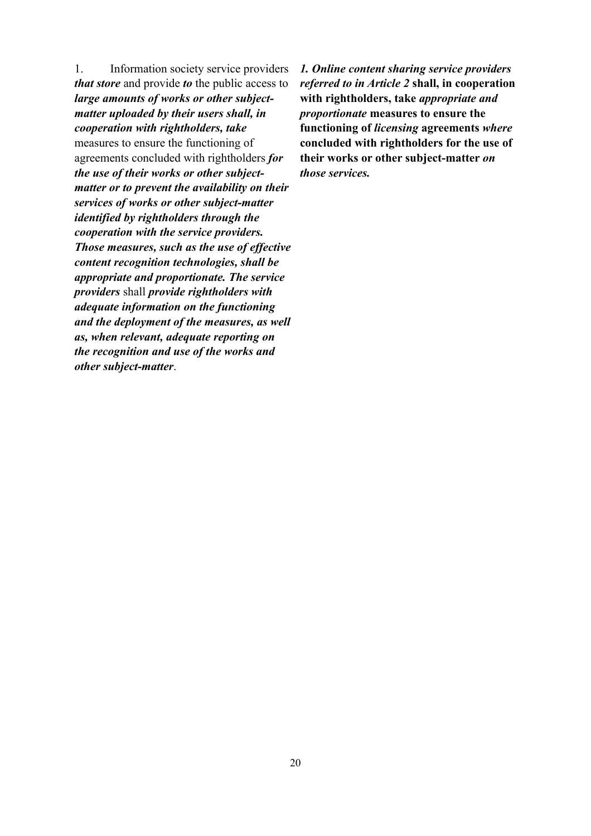1. Information society service providers *that store* and provide *to* the public access to *large amounts of works or other subjectmatter uploaded by their users shall, in cooperation with rightholders, take* measures to ensure the functioning of agreements concluded with rightholders *for the use of their works or other subjectmatter or to prevent the availability on their services of works or other subject-matter identified by rightholders through the cooperation with the service providers. Those measures, such as the use of effective content recognition technologies, shall be appropriate and proportionate. The service providers* shall *provide rightholders with adequate information on the functioning and the deployment of the measures, as well as, when relevant, adequate reporting on the recognition and use of the works and other subject-matter*.

*1. Online content sharing service providers referred to in Article 2* **shall, in cooperation with rightholders, take** *appropriate and proportionate* **measures to ensure the functioning of** *licensing* **agreements** *where* **concluded with rightholders for the use of their works or other subject-matter** *on those services.*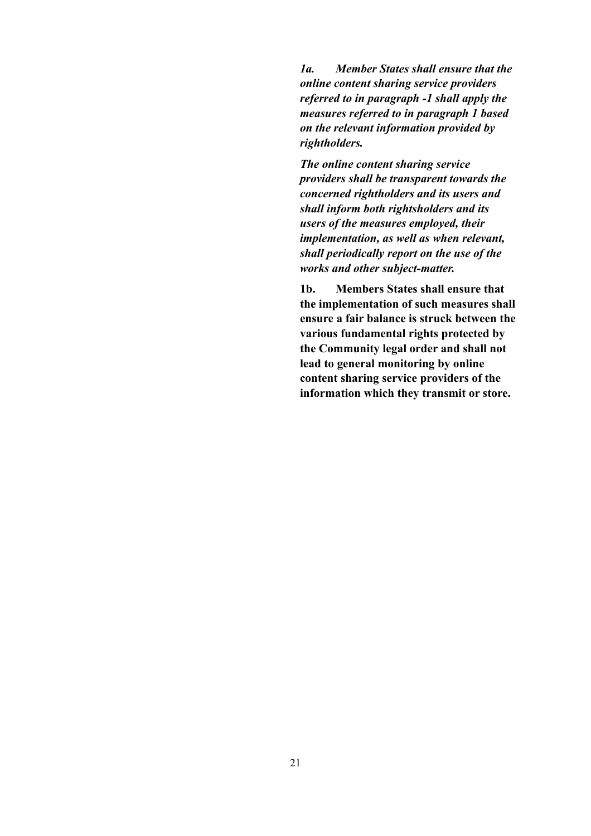*1a. Member States shall ensure that the online content sharing service providers referred to in paragraph -1 shall apply the measures referred to in paragraph 1 based on the relevant information provided by rightholders.* 

*The online content sharing service providers shall be transparent towards the concerned rightholders and its users and shall inform both rightsholders and its users of the measures employed, their implementation, as well as when relevant, shall periodically report on the use of the works and other subject-matter.* 

**1b. Members States shall ensure that the implementation of such measures shall ensure a fair balance is struck between the various fundamental rights protected by the Community legal order and shall not lead to general monitoring by online content sharing service providers of the information which they transmit or store.**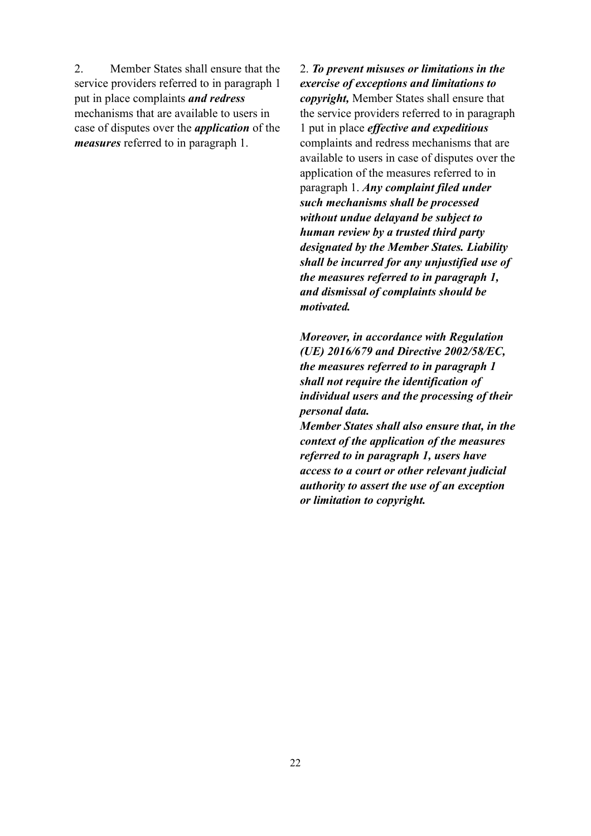2. Member States shall ensure that the service providers referred to in paragraph 1 put in place complaints *and redress* mechanisms that are available to users in case of disputes over the *application* of the *measures* referred to in paragraph 1.

2. *To prevent misuses or limitations in the exercise of exceptions and limitations to copyright,* Member States shall ensure that the service providers referred to in paragraph 1 put in place *effective and expeditious*  complaints and redress mechanisms that are available to users in case of disputes over the application of the measures referred to in paragraph 1. *Any complaint filed under such mechanisms shall be processed without undue delayand be subject to human review by a trusted third party designated by the Member States. Liability shall be incurred for any unjustified use of the measures referred to in paragraph 1, and dismissal of complaints should be motivated.* 

*Moreover, in accordance with Regulation (UE) 2016/679 and Directive 2002/58/EC, the measures referred to in paragraph 1 shall not require the identification of individual users and the processing of their personal data.* 

*Member States shall also ensure that, in the context of the application of the measures referred to in paragraph 1, users have access to a court or other relevant judicial authority to assert the use of an exception or limitation to copyright.*